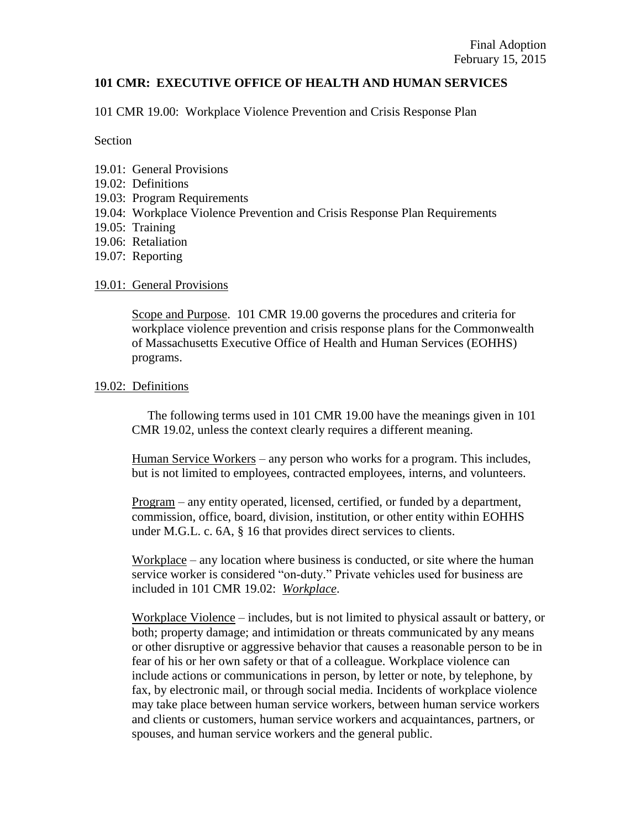## **101 CMR: EXECUTIVE OFFICE OF HEALTH AND HUMAN SERVICES**

101 CMR 19.00: Workplace Violence Prevention and Crisis Response Plan

Section

- 19.01: General Provisions
- 19.02: Definitions
- 19.03: Program Requirements
- 19.04: Workplace Violence Prevention and Crisis Response Plan Requirements
- 19.05: Training
- 19.06: Retaliation
- 19.07: Reporting

#### 19.01: General Provisions

Scope and Purpose. 101 CMR 19.00 governs the procedures and criteria for workplace violence prevention and crisis response plans for the Commonwealth of Massachusetts Executive Office of Health and Human Services (EOHHS) programs.

#### 19.02: Definitions

 The following terms used in 101 CMR 19.00 have the meanings given in 101 CMR 19.02, unless the context clearly requires a different meaning.

Human Service Workers – any person who works for a program. This includes, but is not limited to employees, contracted employees, interns, and volunteers.

Program – any entity operated, licensed, certified, or funded by a department, commission, office, board, division, institution, or other entity within EOHHS under M.G.L. c. 6A, § 16 that provides direct services to clients.

Workplace – any location where business is conducted, or site where the human service worker is considered "on-duty." Private vehicles used for business are included in 101 CMR 19.02: *Workplace*.

Workplace Violence – includes, but is not limited to physical assault or battery, or both; property damage; and intimidation or threats communicated by any means or other disruptive or aggressive behavior that causes a reasonable person to be in fear of his or her own safety or that of a colleague. Workplace violence can include actions or communications in person, by letter or note, by telephone, by fax, by electronic mail, or through social media. Incidents of workplace violence may take place between human service workers, between human service workers and clients or customers, human service workers and acquaintances, partners, or spouses, and human service workers and the general public.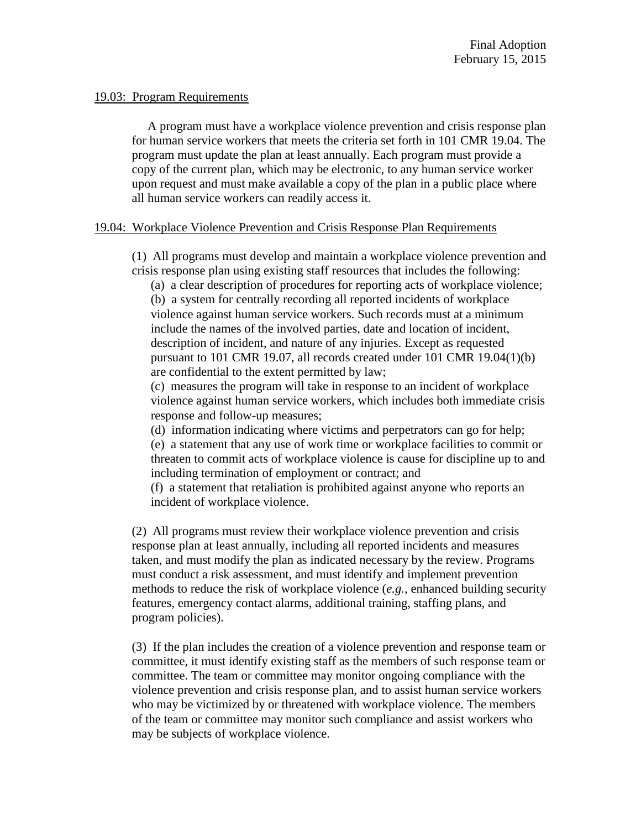#### 19.03: Program Requirements

 A program must have a workplace violence prevention and crisis response plan for human service workers that meets the criteria set forth in 101 CMR 19.04. The program must update the plan at least annually. Each program must provide a copy of the current plan, which may be electronic, to any human service worker upon request and must make available a copy of the plan in a public place where all human service workers can readily access it.

## 19.04: Workplace Violence Prevention and Crisis Response Plan Requirements

(1) All programs must develop and maintain a workplace violence prevention and crisis response plan using existing staff resources that includes the following:

(a) a clear description of procedures for reporting acts of workplace violence; (b) a system for centrally recording all reported incidents of workplace violence against human service workers. Such records must at a minimum include the names of the involved parties, date and location of incident, description of incident, and nature of any injuries. Except as requested pursuant to 101 CMR 19.07, all records created under 101 CMR 19.04(1)(b) are confidential to the extent permitted by law;

(c) measures the program will take in response to an incident of workplace violence against human service workers, which includes both immediate crisis response and follow-up measures;

(d) information indicating where victims and perpetrators can go for help;

(e) a statement that any use of work time or workplace facilities to commit or threaten to commit acts of workplace violence is cause for discipline up to and including termination of employment or contract; and

(f) a statement that retaliation is prohibited against anyone who reports an incident of workplace violence.

(2) All programs must review their workplace violence prevention and crisis response plan at least annually, including all reported incidents and measures taken, and must modify the plan as indicated necessary by the review. Programs must conduct a risk assessment, and must identify and implement prevention methods to reduce the risk of workplace violence (*e.g.*, enhanced building security features, emergency contact alarms, additional training, staffing plans, and program policies).

(3) If the plan includes the creation of a violence prevention and response team or committee, it must identify existing staff as the members of such response team or committee. The team or committee may monitor ongoing compliance with the violence prevention and crisis response plan, and to assist human service workers who may be victimized by or threatened with workplace violence. The members of the team or committee may monitor such compliance and assist workers who may be subjects of workplace violence.